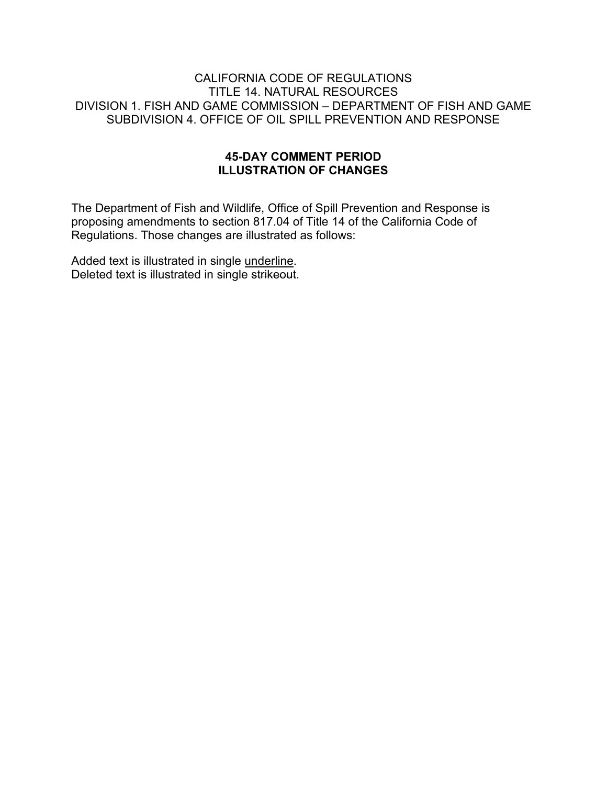#### CALIFORNIA CODE OF REGULATIONS TITLE 14. NATURAL RESOURCES DIVISION 1. FISH AND GAME COMMISSION – DEPARTMENT OF FISH AND GAME SUBDIVISION 4. OFFICE OF OIL SPILL PREVENTION AND RESPONSE

### **45-DAY COMMENT PERIOD ILLUSTRATION OF CHANGES**

The Department of Fish and Wildlife, Office of Spill Prevention and Response is proposing amendments to section 817.04 of Title 14 of the California Code of Regulations. Those changes are illustrated as follows:

Added text is illustrated in single underline. Deleted text is illustrated in single strikeout.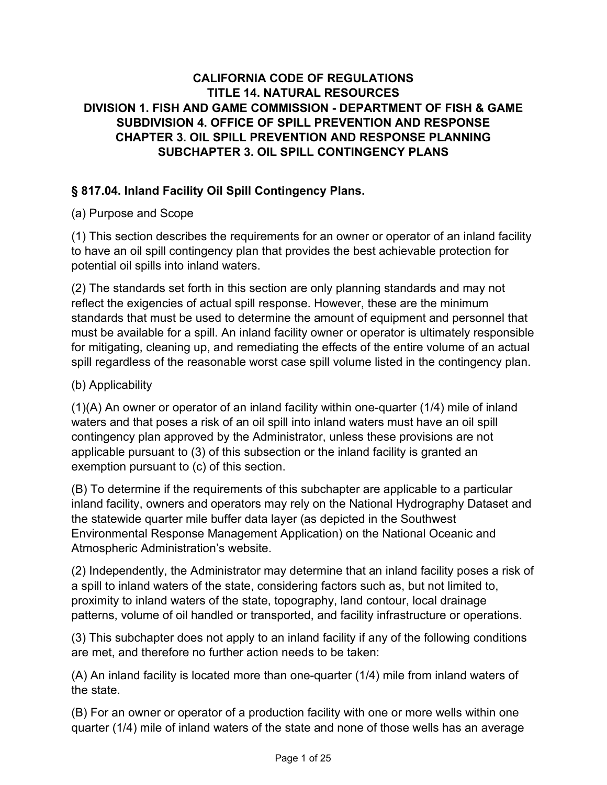## **CALIFORNIA CODE OF REGULATIONS TITLE 14. NATURAL RESOURCES DIVISION 1. FISH AND GAME COMMISSION - DEPARTMENT OF FISH & GAME SUBDIVISION 4. OFFICE OF SPILL PREVENTION AND RESPONSE CHAPTER 3. OIL SPILL PREVENTION AND RESPONSE PLANNING SUBCHAPTER 3. OIL SPILL CONTINGENCY PLANS**

# **§ 817.04. Inland Facility Oil Spill Contingency Plans.**

## (a) Purpose and Scope

(1) This section describes the requirements for an owner or operator of an inland facility to have an oil spill contingency plan that provides the best achievable protection for potential oil spills into inland waters.

(2) The standards set forth in this section are only planning standards and may not reflect the exigencies of actual spill response. However, these are the minimum standards that must be used to determine the amount of equipment and personnel that must be available for a spill. An inland facility owner or operator is ultimately responsible for mitigating, cleaning up, and remediating the effects of the entire volume of an actual spill regardless of the reasonable worst case spill volume listed in the contingency plan.

## (b) Applicability

(1)(A) An owner or operator of an inland facility within one-quarter (1/4) mile of inland waters and that poses a risk of an oil spill into inland waters must have an oil spill contingency plan approved by the Administrator, unless these provisions are not applicable pursuant to (3) of this subsection or the inland facility is granted an exemption pursuant to (c) of this section.

(B) To determine if the requirements of this subchapter are applicable to a particular inland facility, owners and operators may rely on the National Hydrography Dataset and the statewide quarter mile buffer data layer (as depicted in the Southwest Environmental Response Management Application) on the National Oceanic and Atmospheric Administration's website.

(2) Independently, the Administrator may determine that an inland facility poses a risk of a spill to inland waters of the state, considering factors such as, but not limited to, proximity to inland waters of the state, topography, land contour, local drainage patterns, volume of oil handled or transported, and facility infrastructure or operations.

(3) This subchapter does not apply to an inland facility if any of the following conditions are met, and therefore no further action needs to be taken:

(A) An inland facility is located more than one-quarter (1/4) mile from inland waters of the state.

(B) For an owner or operator of a production facility with one or more wells within one quarter (1/4) mile of inland waters of the state and none of those wells has an average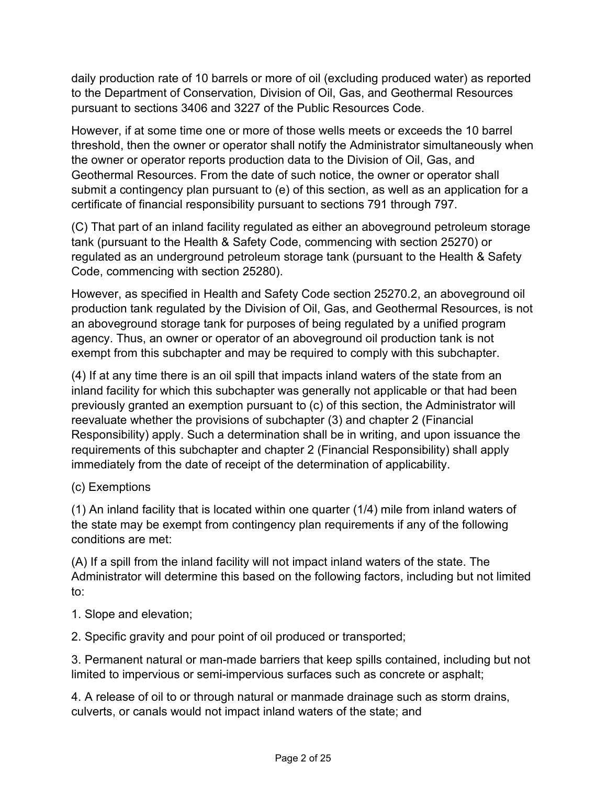daily production rate of 10 barrels or more of oil (excluding produced water) as reported to the Department of Conservation*,* Division of Oil, Gas, and Geothermal Resources pursuant to sections 3406 and 3227 of the Public Resources Code.

However, if at some time one or more of those wells meets or exceeds the 10 barrel threshold, then the owner or operator shall notify the Administrator simultaneously when the owner or operator reports production data to the Division of Oil, Gas, and Geothermal Resources. From the date of such notice, the owner or operator shall submit a contingency plan pursuant to (e) of this section, as well as an application for a certificate of financial responsibility pursuant to sections 791 through 797.

(C) That part of an inland facility regulated as either an aboveground petroleum storage tank (pursuant to the Health & Safety Code, commencing with section 25270) or regulated as an underground petroleum storage tank (pursuant to the Health & Safety Code, commencing with section 25280).

However, as specified in Health and Safety Code section 25270.2, an aboveground oil production tank regulated by the Division of Oil, Gas, and Geothermal Resources, is not an aboveground storage tank for purposes of being regulated by a unified program agency. Thus, an owner or operator of an aboveground oil production tank is not exempt from this subchapter and may be required to comply with this subchapter.

(4) If at any time there is an oil spill that impacts inland waters of the state from an inland facility for which this subchapter was generally not applicable or that had been previously granted an exemption pursuant to (c) of this section, the Administrator will reevaluate whether the provisions of subchapter (3) and chapter 2 (Financial Responsibility) apply. Such a determination shall be in writing, and upon issuance the requirements of this subchapter and chapter 2 (Financial Responsibility) shall apply immediately from the date of receipt of the determination of applicability.

## (c) Exemptions

(1) An inland facility that is located within one quarter (1/4) mile from inland waters of the state may be exempt from contingency plan requirements if any of the following conditions are met:

(A) If a spill from the inland facility will not impact inland waters of the state. The Administrator will determine this based on the following factors, including but not limited to:

1. Slope and elevation;

2. Specific gravity and pour point of oil produced or transported;

3. Permanent natural or man-made barriers that keep spills contained, including but not limited to impervious or semi-impervious surfaces such as concrete or asphalt;

4. A release of oil to or through natural or manmade drainage such as storm drains, culverts, or canals would not impact inland waters of the state; and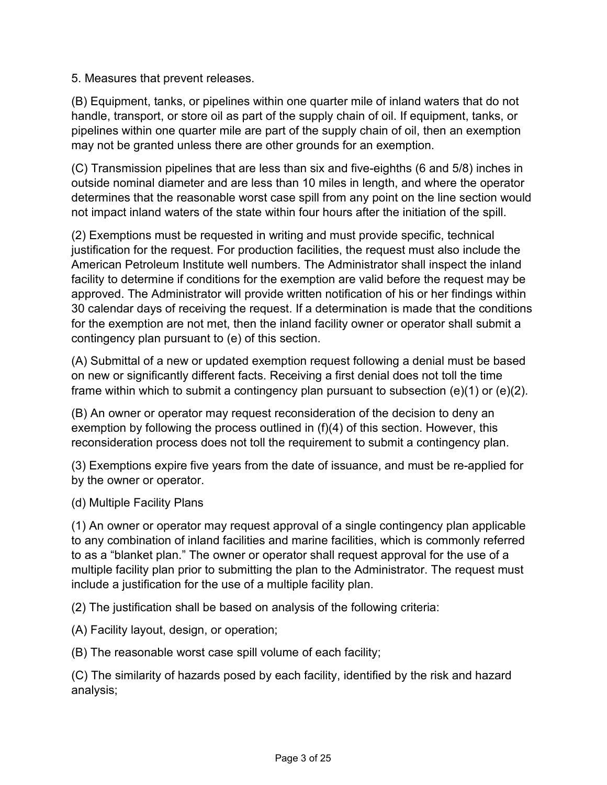5. Measures that prevent releases.

(B) Equipment, tanks, or pipelines within one quarter mile of inland waters that do not handle, transport, or store oil as part of the supply chain of oil. If equipment, tanks, or pipelines within one quarter mile are part of the supply chain of oil, then an exemption may not be granted unless there are other grounds for an exemption.

(C) Transmission pipelines that are less than six and five-eighths (6 and 5/8) inches in outside nominal diameter and are less than 10 miles in length, and where the operator determines that the reasonable worst case spill from any point on the line section would not impact inland waters of the state within four hours after the initiation of the spill.

(2) Exemptions must be requested in writing and must provide specific, technical justification for the request. For production facilities, the request must also include the American Petroleum Institute well numbers. The Administrator shall inspect the inland facility to determine if conditions for the exemption are valid before the request may be approved. The Administrator will provide written notification of his or her findings within 30 calendar days of receiving the request. If a determination is made that the conditions for the exemption are not met, then the inland facility owner or operator shall submit a contingency plan pursuant to (e) of this section.

(A) Submittal of a new or updated exemption request following a denial must be based on new or significantly different facts. Receiving a first denial does not toll the time frame within which to submit a contingency plan pursuant to subsection (e)(1) or (e)(2).

(B) An owner or operator may request reconsideration of the decision to deny an exemption by following the process outlined in (f)(4) of this section. However, this reconsideration process does not toll the requirement to submit a contingency plan.

(3) Exemptions expire five years from the date of issuance, and must be re-applied for by the owner or operator.

(d) Multiple Facility Plans

(1) An owner or operator may request approval of a single contingency plan applicable to any combination of inland facilities and marine facilities, which is commonly referred to as a "blanket plan." The owner or operator shall request approval for the use of a multiple facility plan prior to submitting the plan to the Administrator. The request must include a justification for the use of a multiple facility plan.

(2) The justification shall be based on analysis of the following criteria:

(A) Facility layout, design, or operation;

(B) The reasonable worst case spill volume of each facility;

(C) The similarity of hazards posed by each facility, identified by the risk and hazard analysis;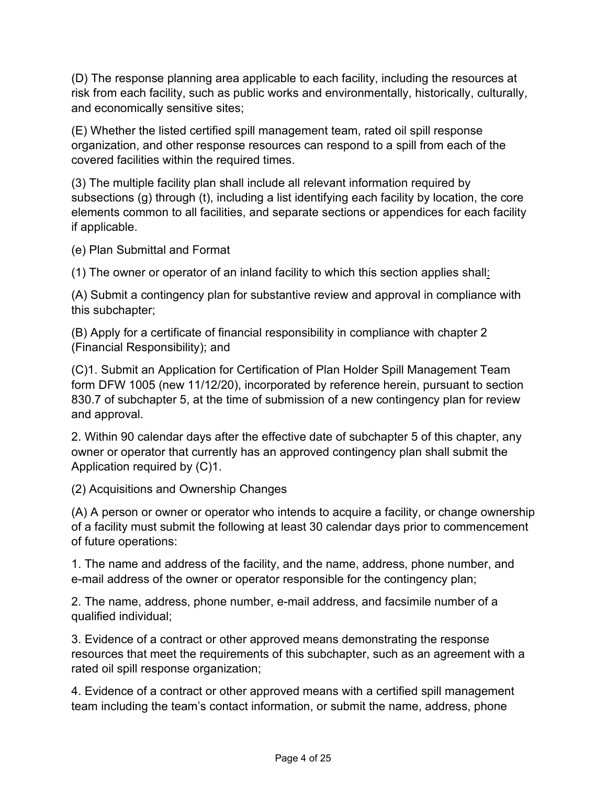(D) The response planning area applicable to each facility, including the resources at risk from each facility, such as public works and environmentally, historically, culturally, and economically sensitive sites;

(E) Whether the listed certified spill management team, rated oil spill response organization, and other response resources can respond to a spill from each of the covered facilities within the required times.

(3) The multiple facility plan shall include all relevant information required by subsections (g) through (t), including a list identifying each facility by location, the core elements common to all facilities, and separate sections or appendices for each facility if applicable.

(e) Plan Submittal and Format

(1) The owner or operator of an inland facility to which this section applies shall:

(A) Submit a contingency plan for substantive review and approval in compliance with this subchapter;

(B) Apply for a certificate of financial responsibility in compliance with chapter 2 (Financial Responsibility); and

(C)1. Submit an Application for Certification of Plan Holder Spill Management Team form DFW 1005 (new 11/12/20), incorporated by reference herein, pursuant to section 830.7 of subchapter 5, at the time of submission of a new contingency plan for review and approval.

2. Within 90 calendar days after the effective date of subchapter 5 of this chapter, any owner or operator that currently has an approved contingency plan shall submit the Application required by (C)1.

(2) Acquisitions and Ownership Changes

(A) A person or owner or operator who intends to acquire a facility, or change ownership of a facility must submit the following at least 30 calendar days prior to commencement of future operations:

1. The name and address of the facility, and the name, address, phone number, and e-mail address of the owner or operator responsible for the contingency plan;

2. The name, address, phone number, e-mail address, and facsimile number of a qualified individual;

3. Evidence of a contract or other approved means demonstrating the response resources that meet the requirements of this subchapter, such as an agreement with a rated oil spill response organization;

4. Evidence of a contract or other approved means with a certified spill management team including the team's contact information, or submit the name, address, phone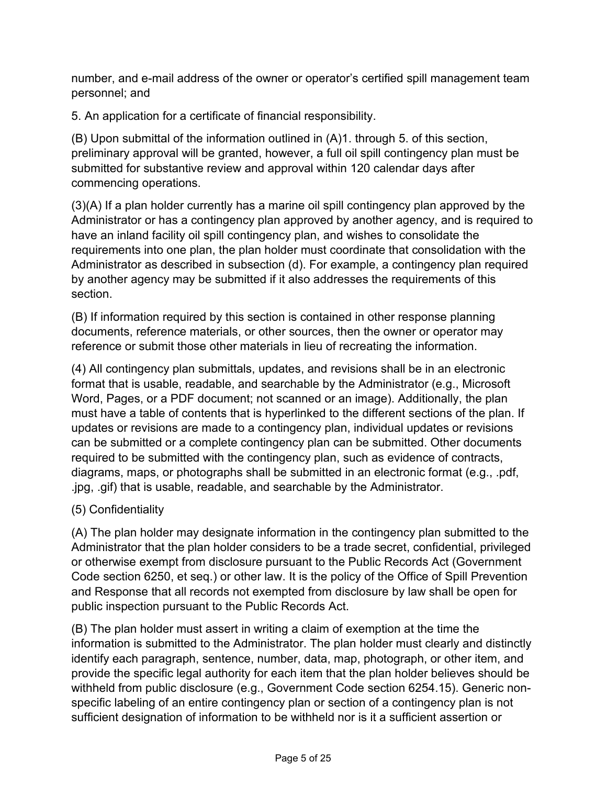number, and e-mail address of the owner or operator's certified spill management team personnel; and

5. An application for a certificate of financial responsibility.

(B) Upon submittal of the information outlined in (A)1. through 5. of this section, preliminary approval will be granted, however, a full oil spill contingency plan must be submitted for substantive review and approval within 120 calendar days after commencing operations.

(3)(A) If a plan holder currently has a marine oil spill contingency plan approved by the Administrator or has a contingency plan approved by another agency, and is required to have an inland facility oil spill contingency plan, and wishes to consolidate the requirements into one plan, the plan holder must coordinate that consolidation with the Administrator as described in subsection (d). For example, a contingency plan required by another agency may be submitted if it also addresses the requirements of this section.

(B) If information required by this section is contained in other response planning documents, reference materials, or other sources, then the owner or operator may reference or submit those other materials in lieu of recreating the information.

(4) All contingency plan submittals, updates, and revisions shall be in an electronic format that is usable, readable, and searchable by the Administrator (e.g., Microsoft Word, Pages, or a PDF document; not scanned or an image). Additionally, the plan must have a table of contents that is hyperlinked to the different sections of the plan. If updates or revisions are made to a contingency plan, individual updates or revisions can be submitted or a complete contingency plan can be submitted. Other documents required to be submitted with the contingency plan, such as evidence of contracts, diagrams, maps, or photographs shall be submitted in an electronic format (e.g., .pdf, .jpg, .gif) that is usable, readable, and searchable by the Administrator.

# (5) Confidentiality

(A) The plan holder may designate information in the contingency plan submitted to the Administrator that the plan holder considers to be a trade secret, confidential, privileged or otherwise exempt from disclosure pursuant to the Public Records Act (Government Code section 6250, et seq.) or other law. It is the policy of the Office of Spill Prevention and Response that all records not exempted from disclosure by law shall be open for public inspection pursuant to the Public Records Act.

(B) The plan holder must assert in writing a claim of exemption at the time the information is submitted to the Administrator. The plan holder must clearly and distinctly identify each paragraph, sentence, number, data, map, photograph, or other item, and provide the specific legal authority for each item that the plan holder believes should be withheld from public disclosure (e.g., Government Code section 6254.15). Generic nonspecific labeling of an entire contingency plan or section of a contingency plan is not sufficient designation of information to be withheld nor is it a sufficient assertion or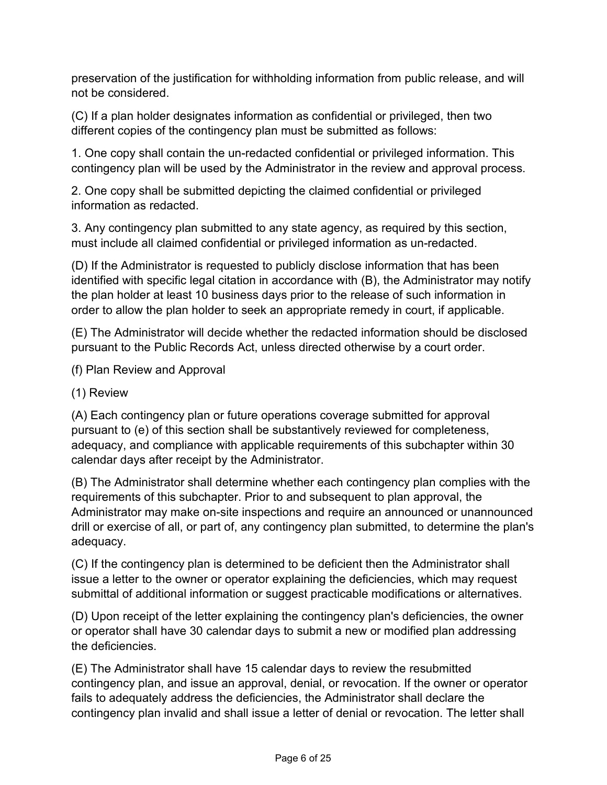preservation of the justification for withholding information from public release, and will not be considered.

(C) If a plan holder designates information as confidential or privileged, then two different copies of the contingency plan must be submitted as follows:

1. One copy shall contain the un-redacted confidential or privileged information. This contingency plan will be used by the Administrator in the review and approval process.

2. One copy shall be submitted depicting the claimed confidential or privileged information as redacted.

3. Any contingency plan submitted to any state agency, as required by this section, must include all claimed confidential or privileged information as un-redacted.

(D) If the Administrator is requested to publicly disclose information that has been identified with specific legal citation in accordance with (B), the Administrator may notify the plan holder at least 10 business days prior to the release of such information in order to allow the plan holder to seek an appropriate remedy in court, if applicable.

(E) The Administrator will decide whether the redacted information should be disclosed pursuant to the Public Records Act, unless directed otherwise by a court order.

- (f) Plan Review and Approval
- (1) Review

(A) Each contingency plan or future operations coverage submitted for approval pursuant to (e) of this section shall be substantively reviewed for completeness, adequacy, and compliance with applicable requirements of this subchapter within 30 calendar days after receipt by the Administrator.

(B) The Administrator shall determine whether each contingency plan complies with the requirements of this subchapter. Prior to and subsequent to plan approval, the Administrator may make on-site inspections and require an announced or unannounced drill or exercise of all, or part of, any contingency plan submitted, to determine the plan's adequacy.

(C) If the contingency plan is determined to be deficient then the Administrator shall issue a letter to the owner or operator explaining the deficiencies, which may request submittal of additional information or suggest practicable modifications or alternatives.

(D) Upon receipt of the letter explaining the contingency plan's deficiencies, the owner or operator shall have 30 calendar days to submit a new or modified plan addressing the deficiencies.

(E) The Administrator shall have 15 calendar days to review the resubmitted contingency plan, and issue an approval, denial, or revocation. If the owner or operator fails to adequately address the deficiencies, the Administrator shall declare the contingency plan invalid and shall issue a letter of denial or revocation. The letter shall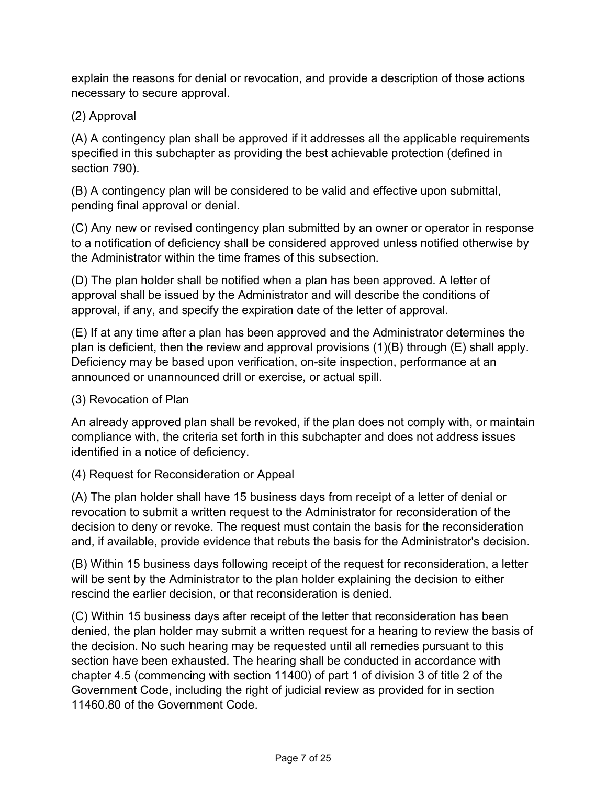explain the reasons for denial or revocation, and provide a description of those actions necessary to secure approval.

## (2) Approval

(A) A contingency plan shall be approved if it addresses all the applicable requirements specified in this subchapter as providing the best achievable protection (defined in section 790).

(B) A contingency plan will be considered to be valid and effective upon submittal, pending final approval or denial.

(C) Any new or revised contingency plan submitted by an owner or operator in response to a notification of deficiency shall be considered approved unless notified otherwise by the Administrator within the time frames of this subsection.

(D) The plan holder shall be notified when a plan has been approved. A letter of approval shall be issued by the Administrator and will describe the conditions of approval, if any, and specify the expiration date of the letter of approval.

(E) If at any time after a plan has been approved and the Administrator determines the plan is deficient, then the review and approval provisions (1)(B) through (E) shall apply. Deficiency may be based upon verification, on-site inspection, performance at an announced or unannounced drill or exercise*,* or actual spill.

## (3) Revocation of Plan

An already approved plan shall be revoked, if the plan does not comply with, or maintain compliance with, the criteria set forth in this subchapter and does not address issues identified in a notice of deficiency.

## (4) Request for Reconsideration or Appeal

(A) The plan holder shall have 15 business days from receipt of a letter of denial or revocation to submit a written request to the Administrator for reconsideration of the decision to deny or revoke. The request must contain the basis for the reconsideration and, if available, provide evidence that rebuts the basis for the Administrator's decision.

(B) Within 15 business days following receipt of the request for reconsideration, a letter will be sent by the Administrator to the plan holder explaining the decision to either rescind the earlier decision, or that reconsideration is denied.

(C) Within 15 business days after receipt of the letter that reconsideration has been denied, the plan holder may submit a written request for a hearing to review the basis of the decision. No such hearing may be requested until all remedies pursuant to this section have been exhausted. The hearing shall be conducted in accordance with chapter 4.5 (commencing with section 11400) of part 1 of division 3 of title 2 of the Government Code, including the right of judicial review as provided for in section 11460.80 of the Government Code.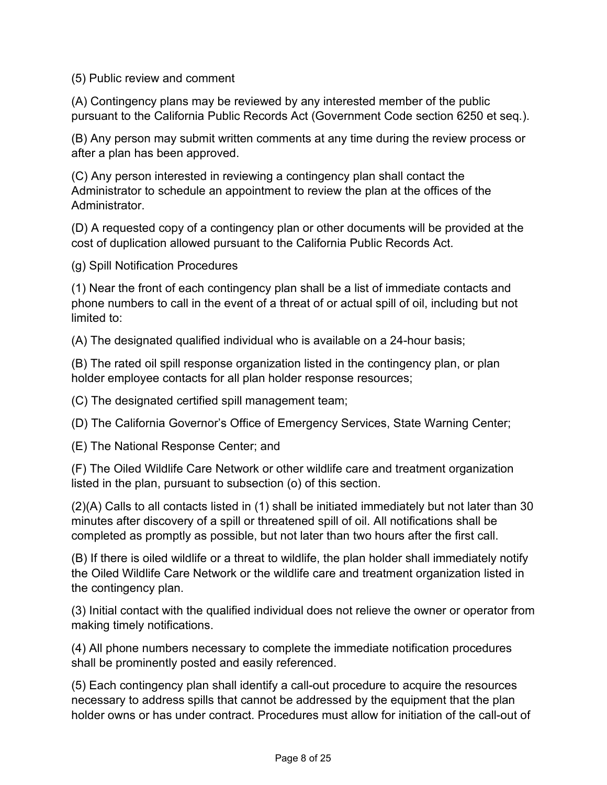(5) Public review and comment

(A) Contingency plans may be reviewed by any interested member of the public pursuant to the California Public Records Act (Government Code section 6250 et seq*.*).

(B) Any person may submit written comments at any time during the review process or after a plan has been approved.

(C) Any person interested in reviewing a contingency plan shall contact the Administrator to schedule an appointment to review the plan at the offices of the Administrator.

(D) A requested copy of a contingency plan or other documents will be provided at the cost of duplication allowed pursuant to the California Public Records Act.

(g) Spill Notification Procedures

(1) Near the front of each contingency plan shall be a list of immediate contacts and phone numbers to call in the event of a threat of or actual spill of oil, including but not limited to:

(A) The designated qualified individual who is available on a 24-hour basis;

(B) The rated oil spill response organization listed in the contingency plan, or plan holder employee contacts for all plan holder response resources;

(C) The designated certified spill management team;

(D) The California Governor's Office of Emergency Services, State Warning Center;

(E) The National Response Center; and

(F) The Oiled Wildlife Care Network or other wildlife care and treatment organization listed in the plan, pursuant to subsection (o) of this section.

(2)(A) Calls to all contacts listed in (1) shall be initiated immediately but not later than 30 minutes after discovery of a spill or threatened spill of oil. All notifications shall be completed as promptly as possible, but not later than two hours after the first call.

(B) If there is oiled wildlife or a threat to wildlife, the plan holder shall immediately notify the Oiled Wildlife Care Network or the wildlife care and treatment organization listed in the contingency plan.

(3) Initial contact with the qualified individual does not relieve the owner or operator from making timely notifications.

(4) All phone numbers necessary to complete the immediate notification procedures shall be prominently posted and easily referenced.

(5) Each contingency plan shall identify a call-out procedure to acquire the resources necessary to address spills that cannot be addressed by the equipment that the plan holder owns or has under contract. Procedures must allow for initiation of the call-out of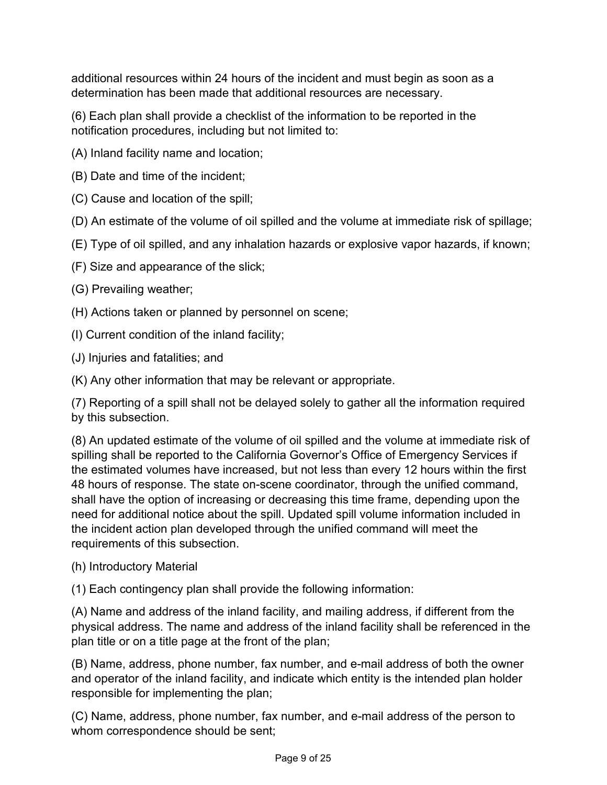additional resources within 24 hours of the incident and must begin as soon as a determination has been made that additional resources are necessary.

(6) Each plan shall provide a checklist of the information to be reported in the notification procedures, including but not limited to:

(A) Inland facility name and location;

- (B) Date and time of the incident;
- (C) Cause and location of the spill;
- (D) An estimate of the volume of oil spilled and the volume at immediate risk of spillage;
- (E) Type of oil spilled, and any inhalation hazards or explosive vapor hazards, if known;
- (F) Size and appearance of the slick;
- (G) Prevailing weather;
- (H) Actions taken or planned by personnel on scene;
- (I) Current condition of the inland facility;
- (J) Injuries and fatalities; and

(K) Any other information that may be relevant or appropriate.

(7) Reporting of a spill shall not be delayed solely to gather all the information required by this subsection.

(8) An updated estimate of the volume of oil spilled and the volume at immediate risk of spilling shall be reported to the California Governor's Office of Emergency Services if the estimated volumes have increased, but not less than every 12 hours within the first 48 hours of response. The state on-scene coordinator, through the unified command, shall have the option of increasing or decreasing this time frame, depending upon the need for additional notice about the spill. Updated spill volume information included in the incident action plan developed through the unified command will meet the requirements of this subsection.

(h) Introductory Material

(1) Each contingency plan shall provide the following information:

(A) Name and address of the inland facility, and mailing address, if different from the physical address. The name and address of the inland facility shall be referenced in the plan title or on a title page at the front of the plan;

(B) Name, address, phone number, fax number, and e-mail address of both the owner and operator of the inland facility, and indicate which entity is the intended plan holder responsible for implementing the plan;

(C) Name, address, phone number, fax number, and e-mail address of the person to whom correspondence should be sent;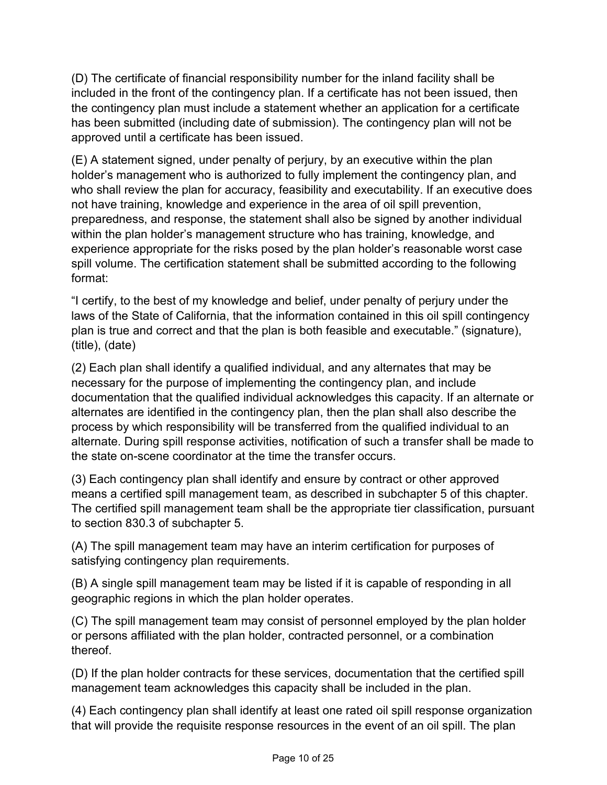(D) The certificate of financial responsibility number for the inland facility shall be included in the front of the contingency plan. If a certificate has not been issued, then the contingency plan must include a statement whether an application for a certificate has been submitted (including date of submission). The contingency plan will not be approved until a certificate has been issued.

(E) A statement signed, under penalty of perjury, by an executive within the plan holder's management who is authorized to fully implement the contingency plan, and who shall review the plan for accuracy, feasibility and executability. If an executive does not have training, knowledge and experience in the area of oil spill prevention, preparedness, and response, the statement shall also be signed by another individual within the plan holder's management structure who has training, knowledge, and experience appropriate for the risks posed by the plan holder's reasonable worst case spill volume. The certification statement shall be submitted according to the following format:

"I certify, to the best of my knowledge and belief, under penalty of perjury under the laws of the State of California, that the information contained in this oil spill contingency plan is true and correct and that the plan is both feasible and executable." (signature), (title), (date)

(2) Each plan shall identify a qualified individual, and any alternates that may be necessary for the purpose of implementing the contingency plan, and include documentation that the qualified individual acknowledges this capacity. If an alternate or alternates are identified in the contingency plan, then the plan shall also describe the process by which responsibility will be transferred from the qualified individual to an alternate. During spill response activities, notification of such a transfer shall be made to the state on-scene coordinator at the time the transfer occurs.

(3) Each contingency plan shall identify and ensure by contract or other approved means a certified spill management team, as described in subchapter 5 of this chapter. The certified spill management team shall be the appropriate tier classification, pursuant to section 830.3 of subchapter 5.

(A) The spill management team may have an interim certification for purposes of satisfying contingency plan requirements.

(B) A single spill management team may be listed if it is capable of responding in all geographic regions in which the plan holder operates.

(C) The spill management team may consist of personnel employed by the plan holder or persons affiliated with the plan holder, contracted personnel, or a combination thereof.

(D) If the plan holder contracts for these services, documentation that the certified spill management team acknowledges this capacity shall be included in the plan.

(4) Each contingency plan shall identify at least one rated oil spill response organization that will provide the requisite response resources in the event of an oil spill. The plan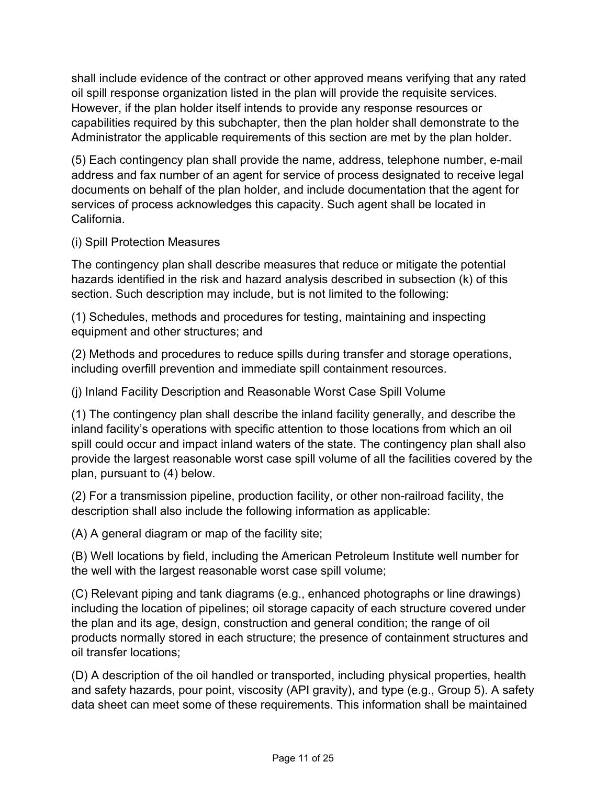shall include evidence of the contract or other approved means verifying that any rated oil spill response organization listed in the plan will provide the requisite services. However, if the plan holder itself intends to provide any response resources or capabilities required by this subchapter, then the plan holder shall demonstrate to the Administrator the applicable requirements of this section are met by the plan holder.

(5) Each contingency plan shall provide the name, address, telephone number, e-mail address and fax number of an agent for service of process designated to receive legal documents on behalf of the plan holder, and include documentation that the agent for services of process acknowledges this capacity. Such agent shall be located in California.

## (i) Spill Protection Measures

The contingency plan shall describe measures that reduce or mitigate the potential hazards identified in the risk and hazard analysis described in subsection (k) of this section. Such description may include, but is not limited to the following:

(1) Schedules, methods and procedures for testing, maintaining and inspecting equipment and other structures; and

(2) Methods and procedures to reduce spills during transfer and storage operations, including overfill prevention and immediate spill containment resources.

(j) Inland Facility Description and Reasonable Worst Case Spill Volume

(1) The contingency plan shall describe the inland facility generally, and describe the inland facility's operations with specific attention to those locations from which an oil spill could occur and impact inland waters of the state. The contingency plan shall also provide the largest reasonable worst case spill volume of all the facilities covered by the plan, pursuant to (4) below.

(2) For a transmission pipeline, production facility, or other non-railroad facility, the description shall also include the following information as applicable:

(A) A general diagram or map of the facility site;

(B) Well locations by field, including the American Petroleum Institute well number for the well with the largest reasonable worst case spill volume;

(C) Relevant piping and tank diagrams (e.g., enhanced photographs or line drawings) including the location of pipelines; oil storage capacity of each structure covered under the plan and its age, design, construction and general condition; the range of oil products normally stored in each structure; the presence of containment structures and oil transfer locations;

(D) A description of the oil handled or transported, including physical properties, health and safety hazards, pour point, viscosity (API gravity), and type (e.g., Group 5). A safety data sheet can meet some of these requirements. This information shall be maintained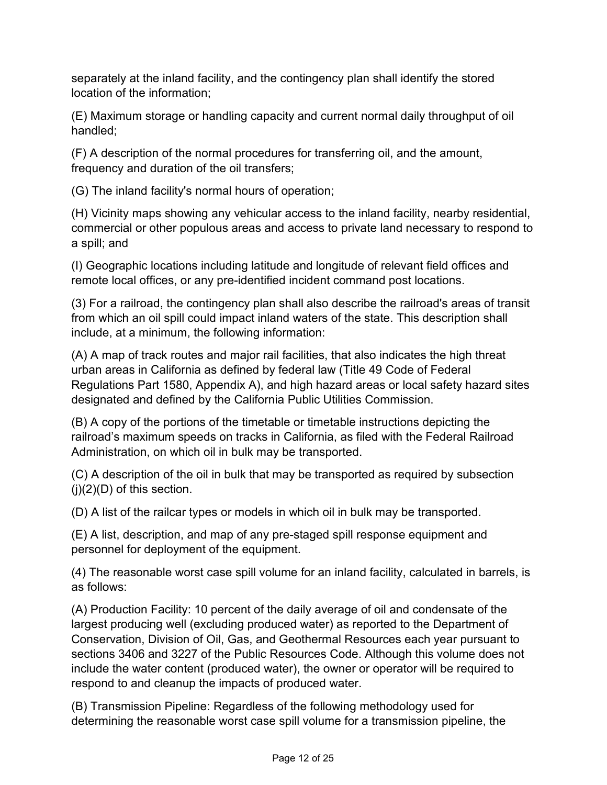separately at the inland facility, and the contingency plan shall identify the stored location of the information;

(E) Maximum storage or handling capacity and current normal daily throughput of oil handled;

(F) A description of the normal procedures for transferring oil, and the amount, frequency and duration of the oil transfers;

(G) The inland facility's normal hours of operation;

(H) Vicinity maps showing any vehicular access to the inland facility, nearby residential, commercial or other populous areas and access to private land necessary to respond to a spill; and

(I) Geographic locations including latitude and longitude of relevant field offices and remote local offices, or any pre-identified incident command post locations.

(3) For a railroad, the contingency plan shall also describe the railroad's areas of transit from which an oil spill could impact inland waters of the state. This description shall include, at a minimum, the following information:

(A) A map of track routes and major rail facilities, that also indicates the high threat urban areas in California as defined by federal law (Title 49 Code of Federal Regulations Part 1580, Appendix A), and high hazard areas or local safety hazard sites designated and defined by the California Public Utilities Commission.

(B) A copy of the portions of the timetable or timetable instructions depicting the railroad's maximum speeds on tracks in California, as filed with the Federal Railroad Administration, on which oil in bulk may be transported.

(C) A description of the oil in bulk that may be transported as required by subsection  $(j)(2)(D)$  of this section.

(D) A list of the railcar types or models in which oil in bulk may be transported.

(E) A list, description, and map of any pre-staged spill response equipment and personnel for deployment of the equipment.

(4) The reasonable worst case spill volume for an inland facility, calculated in barrels, is as follows:

(A) Production Facility: 10 percent of the daily average of oil and condensate of the largest producing well (excluding produced water) as reported to the Department of Conservation, Division of Oil, Gas, and Geothermal Resources each year pursuant to sections 3406 and 3227 of the Public Resources Code. Although this volume does not include the water content (produced water), the owner or operator will be required to respond to and cleanup the impacts of produced water.

(B) Transmission Pipeline: Regardless of the following methodology used for determining the reasonable worst case spill volume for a transmission pipeline, the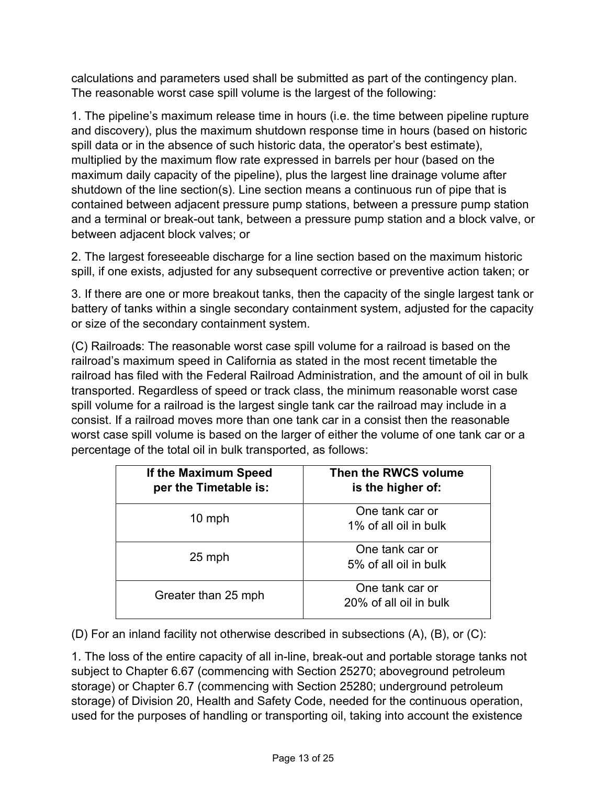calculations and parameters used shall be submitted as part of the contingency plan. The reasonable worst case spill volume is the largest of the following:

1. The pipeline's maximum release time in hours (i.e. the time between pipeline rupture and discovery), plus the maximum shutdown response time in hours (based on historic spill data or in the absence of such historic data, the operator's best estimate), multiplied by the maximum flow rate expressed in barrels per hour (based on the maximum daily capacity of the pipeline), plus the largest line drainage volume after shutdown of the line section(s). Line section means a continuous run of pipe that is contained between adjacent pressure pump stations, between a pressure pump station and a terminal or break-out tank, between a pressure pump station and a block valve, or between adjacent block valves; or

2. The largest foreseeable discharge for a line section based on the maximum historic spill, if one exists, adjusted for any subsequent corrective or preventive action taken; or

3. If there are one or more breakout tanks, then the capacity of the single largest tank or battery of tanks within a single secondary containment system, adjusted for the capacity or size of the secondary containment system.

(C) Railroads: The reasonable worst case spill volume for a railroad is based on the railroad's maximum speed in California as stated in the most recent timetable the railroad has filed with the Federal Railroad Administration, and the amount of oil in bulk transported. Regardless of speed or track class, the minimum reasonable worst case spill volume for a railroad is the largest single tank car the railroad may include in a consist. If a railroad moves more than one tank car in a consist then the reasonable worst case spill volume is based on the larger of either the volume of one tank car or a percentage of the total oil in bulk transported, as follows:

| If the Maximum Speed<br>per the Timetable is: | Then the RWCS volume<br>is the higher of: |
|-----------------------------------------------|-------------------------------------------|
| $10$ mph                                      | One tank car or<br>1% of all oil in bulk  |
| 25 mph                                        | One tank car or<br>5% of all oil in bulk  |
| Greater than 25 mph                           | One tank car or<br>20% of all oil in bulk |

(D) For an inland facility not otherwise described in subsections (A), (B), or (C):

1. The loss of the entire capacity of all in-line, break-out and portable storage tanks not subject to Chapter 6.67 (commencing with Section 25270; aboveground petroleum storage) or Chapter 6.7 (commencing with Section 25280; underground petroleum storage) of Division 20, Health and Safety Code, needed for the continuous operation, used for the purposes of handling or transporting oil, taking into account the existence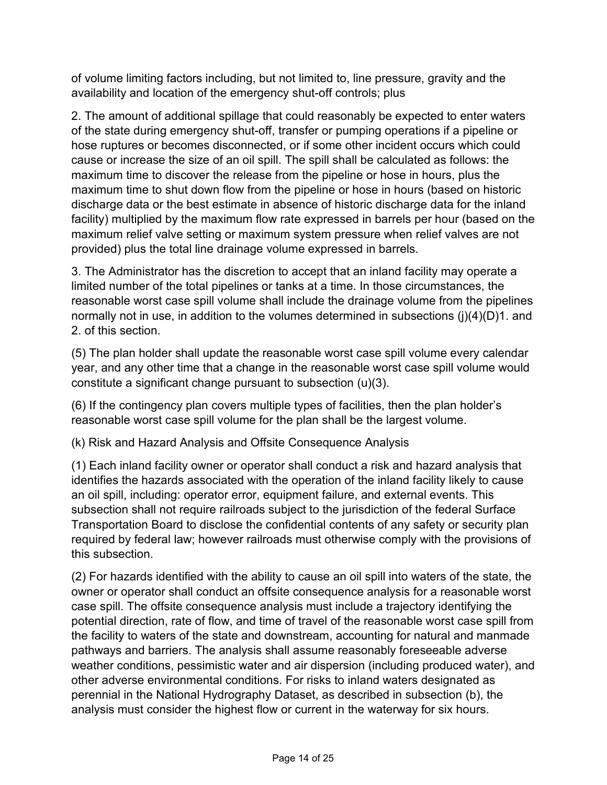of volume limiting factors including, but not limited to, line pressure, gravity and the availability and location of the emergency shut-off controls; plus

2. The amount of additional spillage that could reasonably be expected to enter waters of the state during emergency shut-off, transfer or pumping operations if a pipeline or hose ruptures or becomes disconnected, or if some other incident occurs which could cause or increase the size of an oil spill. The spill shall be calculated as follows: the maximum time to discover the release from the pipeline or hose in hours, plus the maximum time to shut down flow from the pipeline or hose in hours (based on historic discharge data or the best estimate in absence of historic discharge data for the inland facility) multiplied by the maximum flow rate expressed in barrels per hour (based on the maximum relief valve setting or maximum system pressure when relief valves are not provided) plus the total line drainage volume expressed in barrels.

3. The Administrator has the discretion to accept that an inland facility may operate a limited number of the total pipelines or tanks at a time. In those circumstances, the reasonable worst case spill volume shall include the drainage volume from the pipelines normally not in use, in addition to the volumes determined in subsections (j)(4)(D)1. and 2. of this section.

(5) The plan holder shall update the reasonable worst case spill volume every calendar year, and any other time that a change in the reasonable worst case spill volume would constitute a significant change pursuant to subsection (u)(3).

(6) If the contingency plan covers multiple types of facilities, then the plan holder's reasonable worst case spill volume for the plan shall be the largest volume.

(k) Risk and Hazard Analysis and Offsite Consequence Analysis

(1) Each inland facility owner or operator shall conduct a risk and hazard analysis that identifies the hazards associated with the operation of the inland facility likely to cause an oil spill, including: operator error, equipment failure, and external events. This subsection shall not require railroads subject to the jurisdiction of the federal Surface Transportation Board to disclose the confidential contents of any safety or security plan required by federal law; however railroads must otherwise comply with the provisions of this subsection.

(2) For hazards identified with the ability to cause an oil spill into waters of the state, the owner or operator shall conduct an offsite consequence analysis for a reasonable worst case spill. The offsite consequence analysis must include a trajectory identifying the potential direction, rate of flow, and time of travel of the reasonable worst case spill from the facility to waters of the state and downstream, accounting for natural and manmade pathways and barriers. The analysis shall assume reasonably foreseeable adverse weather conditions, pessimistic water and air dispersion (including produced water), and other adverse environmental conditions. For risks to inland waters designated as perennial in the National Hydrography Dataset, as described in subsection (b), the analysis must consider the highest flow or current in the waterway for six hours.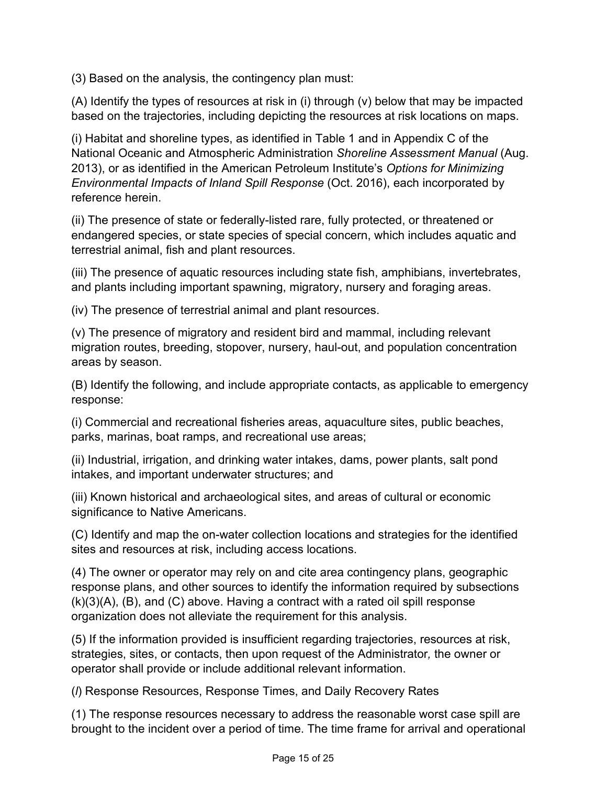(3) Based on the analysis, the contingency plan must:

(A) Identify the types of resources at risk in (i) through (v) below that may be impacted based on the trajectories, including depicting the resources at risk locations on maps.

(i) Habitat and shoreline types, as identified in Table 1 and in Appendix C of the National Oceanic and Atmospheric Administration *Shoreline Assessment Manual* (Aug. 2013), or as identified in the American Petroleum Institute's *Options for Minimizing Environmental Impacts of Inland Spill Response* (Oct. 2016), each incorporated by reference herein.

(ii) The presence of state or federally-listed rare, fully protected, or threatened or endangered species, or state species of special concern, which includes aquatic and terrestrial animal, fish and plant resources.

(iii) The presence of aquatic resources including state fish, amphibians, invertebrates, and plants including important spawning, migratory, nursery and foraging areas.

(iv) The presence of terrestrial animal and plant resources.

(v) The presence of migratory and resident bird and mammal, including relevant migration routes, breeding, stopover, nursery, haul-out, and population concentration areas by season.

(B) Identify the following, and include appropriate contacts, as applicable to emergency response:

(i) Commercial and recreational fisheries areas, aquaculture sites, public beaches, parks, marinas, boat ramps, and recreational use areas;

(ii) Industrial, irrigation, and drinking water intakes, dams, power plants, salt pond intakes, and important underwater structures; and

(iii) Known historical and archaeological sites, and areas of cultural or economic significance to Native Americans.

(C) Identify and map the on-water collection locations and strategies for the identified sites and resources at risk, including access locations.

(4) The owner or operator may rely on and cite area contingency plans, geographic response plans, and other sources to identify the information required by subsections  $(k)(3)(A)$ ,  $(B)$ , and  $(C)$  above. Having a contract with a rated oil spill response organization does not alleviate the requirement for this analysis.

(5) If the information provided is insufficient regarding trajectories, resources at risk, strategies, sites, or contacts, then upon request of the Administrator*,* the owner or operator shall provide or include additional relevant information.

(*l*) Response Resources, Response Times, and Daily Recovery Rates

(1) The response resources necessary to address the reasonable worst case spill are brought to the incident over a period of time. The time frame for arrival and operational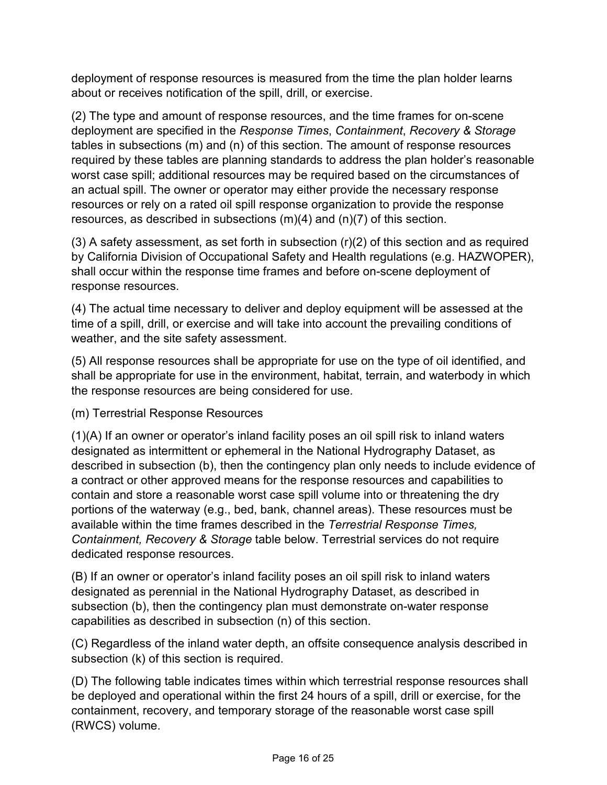deployment of response resources is measured from the time the plan holder learns about or receives notification of the spill, drill, or exercise.

(2) The type and amount of response resources, and the time frames for on-scene deployment are specified in the *Response Times*, *Containment*, *Recovery & Storage*  tables in subsections (m) and (n) of this section. The amount of response resources required by these tables are planning standards to address the plan holder's reasonable worst case spill; additional resources may be required based on the circumstances of an actual spill. The owner or operator may either provide the necessary response resources or rely on a rated oil spill response organization to provide the response resources, as described in subsections (m)(4) and (n)(7) of this section.

 $(3)$  A safety assessment, as set forth in subsection  $(r)(2)$  of this section and as required by California Division of Occupational Safety and Health regulations (e.g. HAZWOPER), shall occur within the response time frames and before on-scene deployment of response resources.

(4) The actual time necessary to deliver and deploy equipment will be assessed at the time of a spill, drill, or exercise and will take into account the prevailing conditions of weather, and the site safety assessment.

(5) All response resources shall be appropriate for use on the type of oil identified, and shall be appropriate for use in the environment, habitat, terrain, and waterbody in which the response resources are being considered for use.

(m) Terrestrial Response Resources

(1)(A) If an owner or operator's inland facility poses an oil spill risk to inland waters designated as intermittent or ephemeral in the National Hydrography Dataset, as described in subsection (b), then the contingency plan only needs to include evidence of a contract or other approved means for the response resources and capabilities to contain and store a reasonable worst case spill volume into or threatening the dry portions of the waterway (e.g., bed, bank, channel areas). These resources must be available within the time frames described in the *Terrestrial Response Times, Containment, Recovery & Storage* table below. Terrestrial services do not require dedicated response resources.

(B) If an owner or operator's inland facility poses an oil spill risk to inland waters designated as perennial in the National Hydrography Dataset, as described in subsection (b), then the contingency plan must demonstrate on-water response capabilities as described in subsection (n) of this section.

(C) Regardless of the inland water depth, an offsite consequence analysis described in subsection (k) of this section is required.

(D) The following table indicates times within which terrestrial response resources shall be deployed and operational within the first 24 hours of a spill, drill or exercise, for the containment, recovery, and temporary storage of the reasonable worst case spill (RWCS) volume.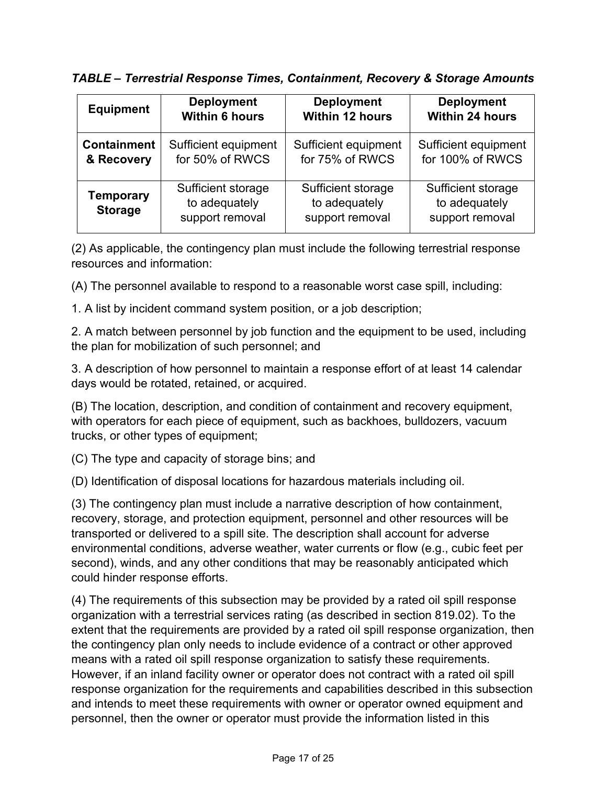*TABLE – Terrestrial Response Times, Containment, Recovery & Storage Amounts*

| <b>Equipment</b>                   | <b>Deployment</b>                                      | <b>Deployment</b>                                      | <b>Deployment</b>                                      |
|------------------------------------|--------------------------------------------------------|--------------------------------------------------------|--------------------------------------------------------|
|                                    | <b>Within 6 hours</b>                                  | <b>Within 12 hours</b>                                 | <b>Within 24 hours</b>                                 |
| <b>Containment</b>                 | Sufficient equipment                                   | Sufficient equipment                                   | Sufficient equipment                                   |
| & Recovery                         | for 50% of RWCS                                        | for 75% of RWCS                                        | for 100% of RWCS                                       |
| <b>Temporary</b><br><b>Storage</b> | Sufficient storage<br>to adequately<br>support removal | Sufficient storage<br>to adequately<br>support removal | Sufficient storage<br>to adequately<br>support removal |

(2) As applicable, the contingency plan must include the following terrestrial response resources and information:

(A) The personnel available to respond to a reasonable worst case spill, including:

1. A list by incident command system position, or a job description;

2. A match between personnel by job function and the equipment to be used, including the plan for mobilization of such personnel; and

3. A description of how personnel to maintain a response effort of at least 14 calendar days would be rotated, retained, or acquired.

(B) The location, description, and condition of containment and recovery equipment, with operators for each piece of equipment, such as backhoes, bulldozers, vacuum trucks, or other types of equipment;

(C) The type and capacity of storage bins; and

(D) Identification of disposal locations for hazardous materials including oil.

(3) The contingency plan must include a narrative description of how containment, recovery, storage, and protection equipment, personnel and other resources will be transported or delivered to a spill site. The description shall account for adverse environmental conditions, adverse weather, water currents or flow (e.g., cubic feet per second), winds, and any other conditions that may be reasonably anticipated which could hinder response efforts.

(4) The requirements of this subsection may be provided by a rated oil spill response organization with a terrestrial services rating (as described in section 819.02). To the extent that the requirements are provided by a rated oil spill response organization, then the contingency plan only needs to include evidence of a contract or other approved means with a rated oil spill response organization to satisfy these requirements. However, if an inland facility owner or operator does not contract with a rated oil spill response organization for the requirements and capabilities described in this subsection and intends to meet these requirements with owner or operator owned equipment and personnel, then the owner or operator must provide the information listed in this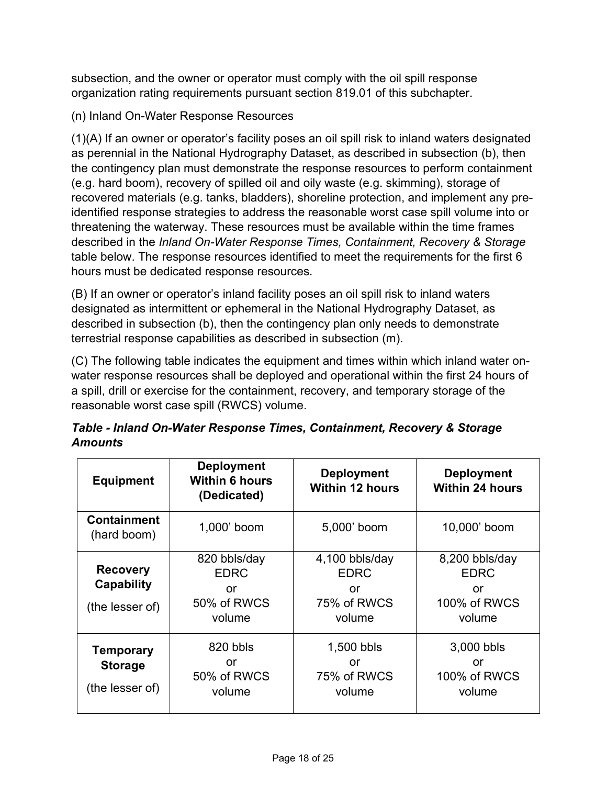subsection, and the owner or operator must comply with the oil spill response organization rating requirements pursuant section 819.01 of this subchapter.

(n) Inland On-Water Response Resources

(1)(A) If an owner or operator's facility poses an oil spill risk to inland waters designated as perennial in the National Hydrography Dataset, as described in subsection (b), then the contingency plan must demonstrate the response resources to perform containment (e.g. hard boom), recovery of spilled oil and oily waste (e.g. skimming), storage of recovered materials (e.g. tanks, bladders), shoreline protection, and implement any preidentified response strategies to address the reasonable worst case spill volume into or threatening the waterway. These resources must be available within the time frames described in the *Inland On-Water Response Times, Containment, Recovery & Storage*  table below. The response resources identified to meet the requirements for the first 6 hours must be dedicated response resources.

(B) If an owner or operator's inland facility poses an oil spill risk to inland waters designated as intermittent or ephemeral in the National Hydrography Dataset, as described in subsection (b), then the contingency plan only needs to demonstrate terrestrial response capabilities as described in subsection (m).

(C) The following table indicates the equipment and times within which inland water onwater response resources shall be deployed and operational within the first 24 hours of a spill, drill or exercise for the containment, recovery, and temporary storage of the reasonable worst case spill (RWCS) volume.

|                |  |  | Table - Inland On-Water Response Times, Containment, Recovery & Storage |  |
|----------------|--|--|-------------------------------------------------------------------------|--|
| <b>Amounts</b> |  |  |                                                                         |  |

| <b>Equipment</b>                                        | <b>Deployment</b><br><b>Within 6 hours</b><br>(Dedicated)  | <b>Deployment</b><br><b>Within 12 hours</b>                  | <b>Deployment</b><br><b>Within 24 hours</b>                   |
|---------------------------------------------------------|------------------------------------------------------------|--------------------------------------------------------------|---------------------------------------------------------------|
| <b>Containment</b><br>(hard boom)                       | 1,000' boom                                                | 5,000' boom                                                  | 10,000' boom                                                  |
| <b>Recovery</b><br><b>Capability</b><br>(the lesser of) | 820 bbls/day<br><b>EDRC</b><br>or<br>50% of RWCS<br>volume | 4,100 bbls/day<br><b>EDRC</b><br>or<br>75% of RWCS<br>volume | 8,200 bbls/day<br><b>EDRC</b><br>or<br>100% of RWCS<br>volume |
| <b>Temporary</b><br><b>Storage</b><br>(the lesser of)   | 820 bbls<br>or<br>50% of RWCS<br>volume                    | 1,500 bbls<br>or<br>75% of RWCS<br>volume                    | 3,000 bbls<br>or<br>100% of RWCS<br>volume                    |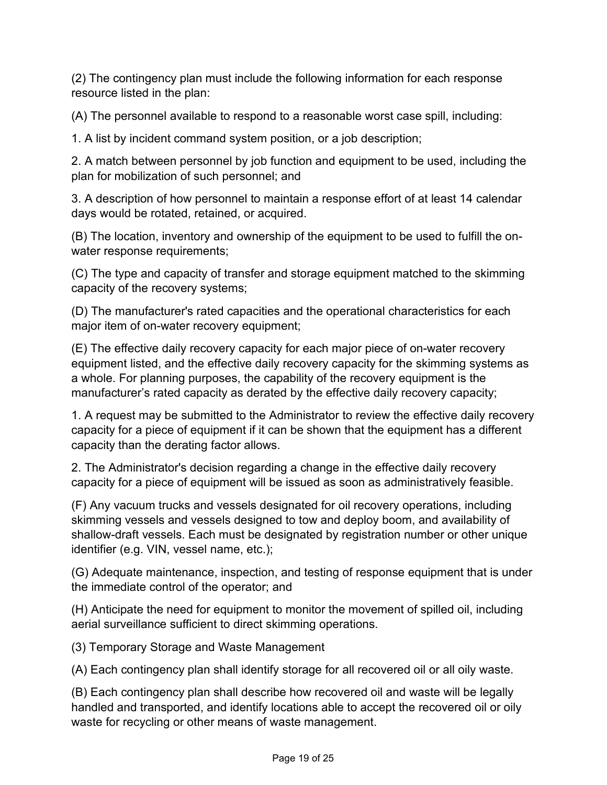(2) The contingency plan must include the following information for each response resource listed in the plan:

(A) The personnel available to respond to a reasonable worst case spill, including:

1. A list by incident command system position, or a job description;

2. A match between personnel by job function and equipment to be used, including the plan for mobilization of such personnel; and

3. A description of how personnel to maintain a response effort of at least 14 calendar days would be rotated, retained, or acquired.

(B) The location, inventory and ownership of the equipment to be used to fulfill the onwater response requirements;

(C) The type and capacity of transfer and storage equipment matched to the skimming capacity of the recovery systems;

(D) The manufacturer's rated capacities and the operational characteristics for each major item of on-water recovery equipment;

(E) The effective daily recovery capacity for each major piece of on-water recovery equipment listed, and the effective daily recovery capacity for the skimming systems as a whole. For planning purposes, the capability of the recovery equipment is the manufacturer's rated capacity as derated by the effective daily recovery capacity;

1. A request may be submitted to the Administrator to review the effective daily recovery capacity for a piece of equipment if it can be shown that the equipment has a different capacity than the derating factor allows.

2. The Administrator's decision regarding a change in the effective daily recovery capacity for a piece of equipment will be issued as soon as administratively feasible.

(F) Any vacuum trucks and vessels designated for oil recovery operations, including skimming vessels and vessels designed to tow and deploy boom, and availability of shallow-draft vessels. Each must be designated by registration number or other unique identifier (e.g. VIN, vessel name, etc.);

(G) Adequate maintenance, inspection, and testing of response equipment that is under the immediate control of the operator; and

(H) Anticipate the need for equipment to monitor the movement of spilled oil, including aerial surveillance sufficient to direct skimming operations.

(3) Temporary Storage and Waste Management

(A) Each contingency plan shall identify storage for all recovered oil or all oily waste.

(B) Each contingency plan shall describe how recovered oil and waste will be legally handled and transported, and identify locations able to accept the recovered oil or oily waste for recycling or other means of waste management.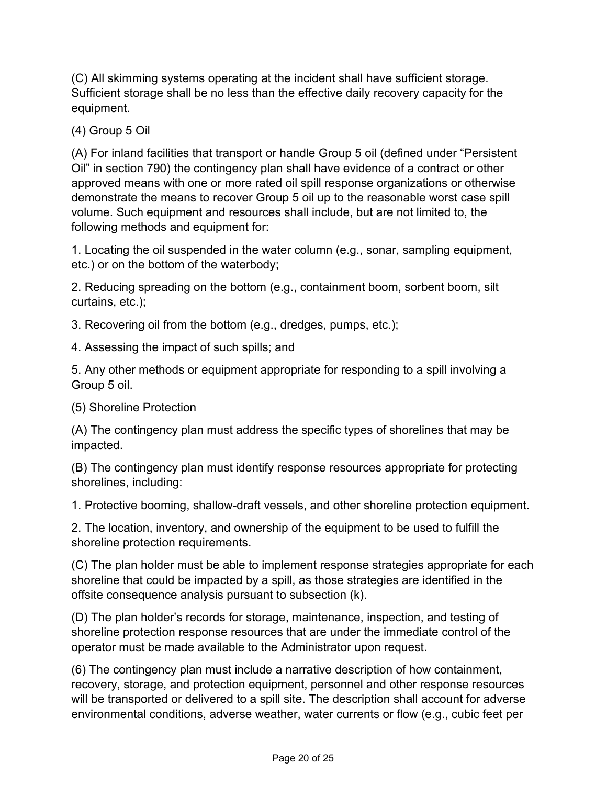(C) All skimming systems operating at the incident shall have sufficient storage. Sufficient storage shall be no less than the effective daily recovery capacity for the equipment.

(4) Group 5 Oil

(A) For inland facilities that transport or handle Group 5 oil (defined under "Persistent Oil" in section 790) the contingency plan shall have evidence of a contract or other approved means with one or more rated oil spill response organizations or otherwise demonstrate the means to recover Group 5 oil up to the reasonable worst case spill volume. Such equipment and resources shall include, but are not limited to, the following methods and equipment for:

1. Locating the oil suspended in the water column (e.g., sonar, sampling equipment, etc.) or on the bottom of the waterbody;

2. Reducing spreading on the bottom (e.g., containment boom, sorbent boom, silt curtains, etc.);

3. Recovering oil from the bottom (e.g., dredges, pumps, etc.);

4. Assessing the impact of such spills; and

5. Any other methods or equipment appropriate for responding to a spill involving a Group 5 oil.

(5) Shoreline Protection

(A) The contingency plan must address the specific types of shorelines that may be impacted.

(B) The contingency plan must identify response resources appropriate for protecting shorelines, including:

1. Protective booming, shallow-draft vessels, and other shoreline protection equipment.

2. The location, inventory, and ownership of the equipment to be used to fulfill the shoreline protection requirements.

(C) The plan holder must be able to implement response strategies appropriate for each shoreline that could be impacted by a spill, as those strategies are identified in the offsite consequence analysis pursuant to subsection (k).

(D) The plan holder's records for storage, maintenance, inspection, and testing of shoreline protection response resources that are under the immediate control of the operator must be made available to the Administrator upon request.

(6) The contingency plan must include a narrative description of how containment, recovery, storage, and protection equipment, personnel and other response resources will be transported or delivered to a spill site. The description shall account for adverse environmental conditions, adverse weather, water currents or flow (e.g., cubic feet per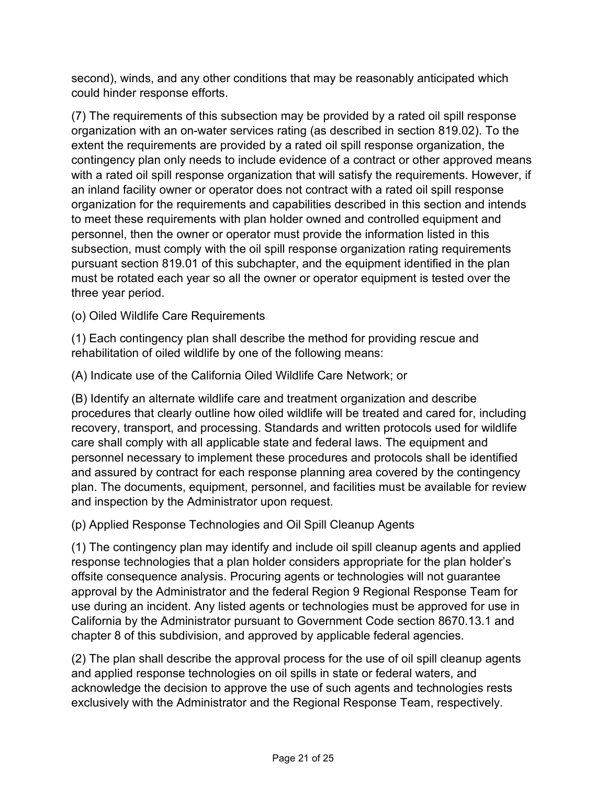second), winds, and any other conditions that may be reasonably anticipated which could hinder response efforts.

(7) The requirements of this subsection may be provided by a rated oil spill response organization with an on-water services rating (as described in section 819.02). To the extent the requirements are provided by a rated oil spill response organization, the contingency plan only needs to include evidence of a contract or other approved means with a rated oil spill response organization that will satisfy the requirements. However, if an inland facility owner or operator does not contract with a rated oil spill response organization for the requirements and capabilities described in this section and intends to meet these requirements with plan holder owned and controlled equipment and personnel, then the owner or operator must provide the information listed in this subsection, must comply with the oil spill response organization rating requirements pursuant section 819.01 of this subchapter, and the equipment identified in the plan must be rotated each year so all the owner or operator equipment is tested over the three year period.

(o) Oiled Wildlife Care Requirements

(1) Each contingency plan shall describe the method for providing rescue and rehabilitation of oiled wildlife by one of the following means:

(A) Indicate use of the California Oiled Wildlife Care Network; or

(B) Identify an alternate wildlife care and treatment organization and describe procedures that clearly outline how oiled wildlife will be treated and cared for, including recovery, transport, and processing. Standards and written protocols used for wildlife care shall comply with all applicable state and federal laws. The equipment and personnel necessary to implement these procedures and protocols shall be identified and assured by contract for each response planning area covered by the contingency plan. The documents, equipment, personnel, and facilities must be available for review and inspection by the Administrator upon request.

(p) Applied Response Technologies and Oil Spill Cleanup Agents

(1) The contingency plan may identify and include oil spill cleanup agents and applied response technologies that a plan holder considers appropriate for the plan holder's offsite consequence analysis. Procuring agents or technologies will not guarantee approval by the Administrator and the federal Region 9 Regional Response Team for use during an incident. Any listed agents or technologies must be approved for use in California by the Administrator pursuant to Government Code section 8670.13.1 and chapter 8 of this subdivision, and approved by applicable federal agencies.

(2) The plan shall describe the approval process for the use of oil spill cleanup agents and applied response technologies on oil spills in state or federal waters, and acknowledge the decision to approve the use of such agents and technologies rests exclusively with the Administrator and the Regional Response Team, respectively.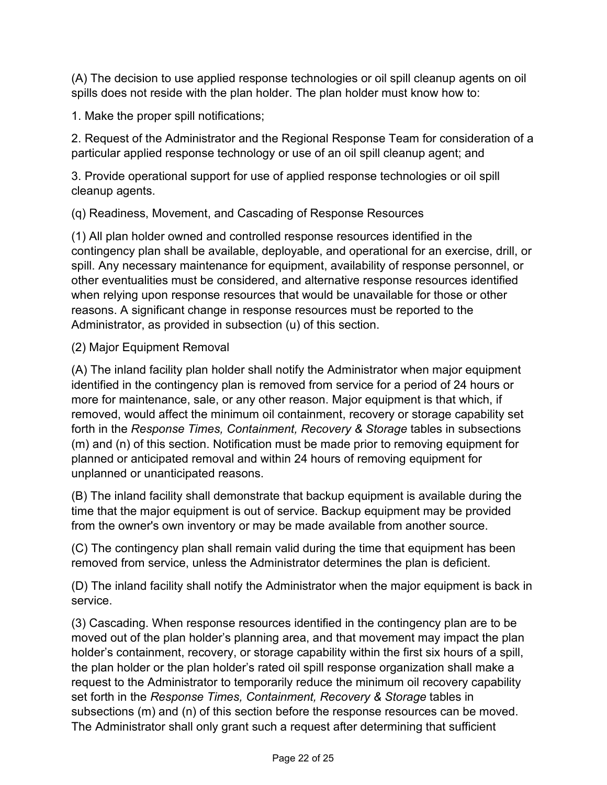(A) The decision to use applied response technologies or oil spill cleanup agents on oil spills does not reside with the plan holder. The plan holder must know how to:

1. Make the proper spill notifications;

2. Request of the Administrator and the Regional Response Team for consideration of a particular applied response technology or use of an oil spill cleanup agent; and

3. Provide operational support for use of applied response technologies or oil spill cleanup agents.

(q) Readiness, Movement, and Cascading of Response Resources

(1) All plan holder owned and controlled response resources identified in the contingency plan shall be available, deployable, and operational for an exercise, drill, or spill. Any necessary maintenance for equipment, availability of response personnel, or other eventualities must be considered, and alternative response resources identified when relying upon response resources that would be unavailable for those or other reasons. A significant change in response resources must be reported to the Administrator, as provided in subsection (u) of this section.

## (2) Major Equipment Removal

(A) The inland facility plan holder shall notify the Administrator when major equipment identified in the contingency plan is removed from service for a period of 24 hours or more for maintenance, sale, or any other reason. Major equipment is that which, if removed, would affect the minimum oil containment, recovery or storage capability set forth in the *Response Times, Containment, Recovery & Storage* tables in subsections (m) and (n) of this section. Notification must be made prior to removing equipment for planned or anticipated removal and within 24 hours of removing equipment for unplanned or unanticipated reasons.

(B) The inland facility shall demonstrate that backup equipment is available during the time that the major equipment is out of service. Backup equipment may be provided from the owner's own inventory or may be made available from another source.

(C) The contingency plan shall remain valid during the time that equipment has been removed from service, unless the Administrator determines the plan is deficient.

(D) The inland facility shall notify the Administrator when the major equipment is back in service.

(3) Cascading. When response resources identified in the contingency plan are to be moved out of the plan holder's planning area, and that movement may impact the plan holder's containment, recovery, or storage capability within the first six hours of a spill, the plan holder or the plan holder's rated oil spill response organization shall make a request to the Administrator to temporarily reduce the minimum oil recovery capability set forth in the *Response Times, Containment, Recovery & Storage* tables in subsections (m) and (n) of this section before the response resources can be moved. The Administrator shall only grant such a request after determining that sufficient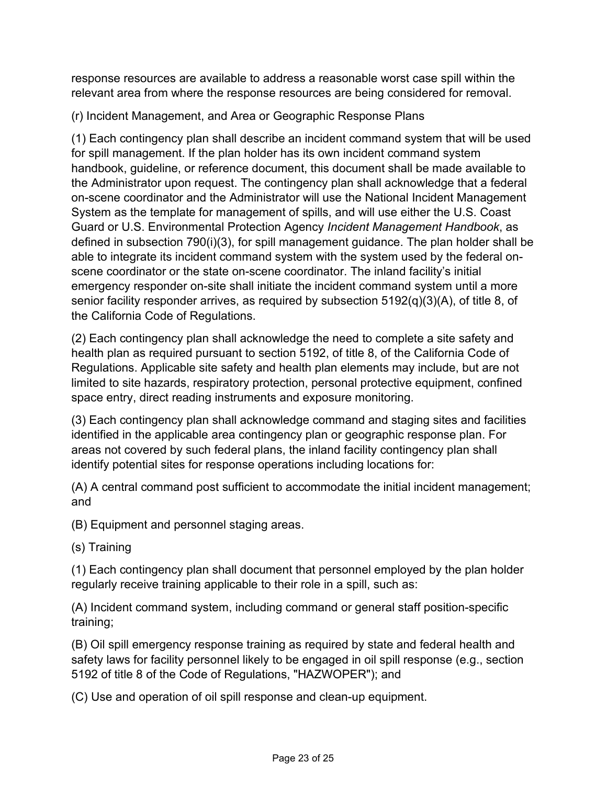response resources are available to address a reasonable worst case spill within the relevant area from where the response resources are being considered for removal.

(r) Incident Management, and Area or Geographic Response Plans

(1) Each contingency plan shall describe an incident command system that will be used for spill management. If the plan holder has its own incident command system handbook, guideline, or reference document, this document shall be made available to the Administrator upon request. The contingency plan shall acknowledge that a federal on-scene coordinator and the Administrator will use the National Incident Management System as the template for management of spills, and will use either the U.S. Coast Guard or U.S. Environmental Protection Agency *Incident Management Handbook*, as defined in subsection 790(i)(3), for spill management guidance. The plan holder shall be able to integrate its incident command system with the system used by the federal onscene coordinator or the state on-scene coordinator. The inland facility's initial emergency responder on-site shall initiate the incident command system until a more senior facility responder arrives, as required by subsection 5192(q)(3)(A), of title 8, of the California Code of Regulations.

(2) Each contingency plan shall acknowledge the need to complete a site safety and health plan as required pursuant to section 5192, of title 8, of the California Code of Regulations. Applicable site safety and health plan elements may include, but are not limited to site hazards, respiratory protection, personal protective equipment, confined space entry, direct reading instruments and exposure monitoring.

(3) Each contingency plan shall acknowledge command and staging sites and facilities identified in the applicable area contingency plan or geographic response plan. For areas not covered by such federal plans, the inland facility contingency plan shall identify potential sites for response operations including locations for:

(A) A central command post sufficient to accommodate the initial incident management; and

(B) Equipment and personnel staging areas.

(s) Training

(1) Each contingency plan shall document that personnel employed by the plan holder regularly receive training applicable to their role in a spill, such as:

(A) Incident command system, including command or general staff position-specific training;

(B) Oil spill emergency response training as required by state and federal health and safety laws for facility personnel likely to be engaged in oil spill response (e.g., section 5192 of title 8 of the Code of Regulations, "HAZWOPER"); and

(C) Use and operation of oil spill response and clean-up equipment.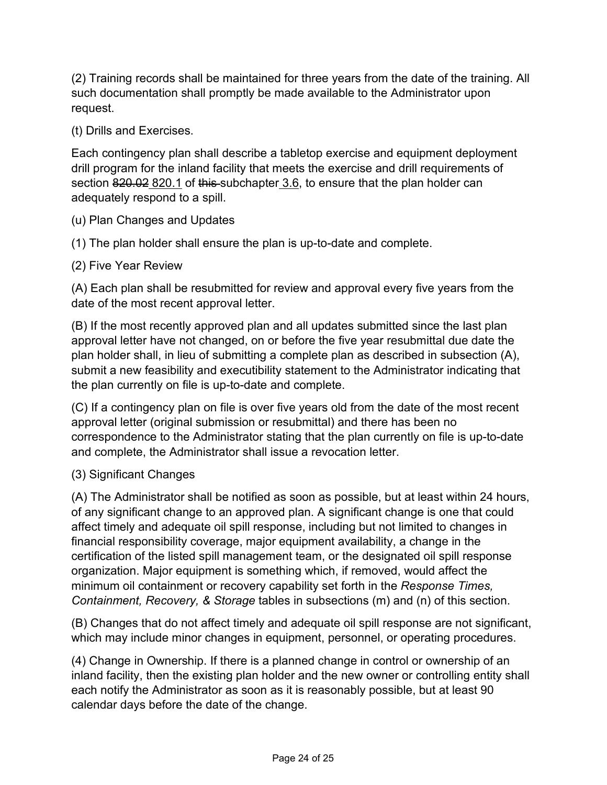(2) Training records shall be maintained for three years from the date of the training. All such documentation shall promptly be made available to the Administrator upon request.

(t) Drills and Exercises.

Each contingency plan shall describe a tabletop exercise and equipment deployment drill program for the inland facility that meets the exercise and drill requirements of section 820.02 820.1 of this subchapter 3.6, to ensure that the plan holder can adequately respond to a spill.

(u) Plan Changes and Updates

(1) The plan holder shall ensure the plan is up-to-date and complete.

### (2) Five Year Review

(A) Each plan shall be resubmitted for review and approval every five years from the date of the most recent approval letter.

(B) If the most recently approved plan and all updates submitted since the last plan approval letter have not changed, on or before the five year resubmittal due date the plan holder shall, in lieu of submitting a complete plan as described in subsection (A), submit a new feasibility and executibility statement to the Administrator indicating that the plan currently on file is up-to-date and complete.

(C) If a contingency plan on file is over five years old from the date of the most recent approval letter (original submission or resubmittal) and there has been no correspondence to the Administrator stating that the plan currently on file is up-to-date and complete, the Administrator shall issue a revocation letter.

### (3) Significant Changes

(A) The Administrator shall be notified as soon as possible, but at least within 24 hours, of any significant change to an approved plan. A significant change is one that could affect timely and adequate oil spill response, including but not limited to changes in financial responsibility coverage, major equipment availability, a change in the certification of the listed spill management team, or the designated oil spill response organization. Major equipment is something which, if removed, would affect the minimum oil containment or recovery capability set forth in the *Response Times, Containment, Recovery, & Storage* tables in subsections (m) and (n) of this section.

(B) Changes that do not affect timely and adequate oil spill response are not significant, which may include minor changes in equipment, personnel, or operating procedures.

(4) Change in Ownership. If there is a planned change in control or ownership of an inland facility, then the existing plan holder and the new owner or controlling entity shall each notify the Administrator as soon as it is reasonably possible, but at least 90 calendar days before the date of the change.